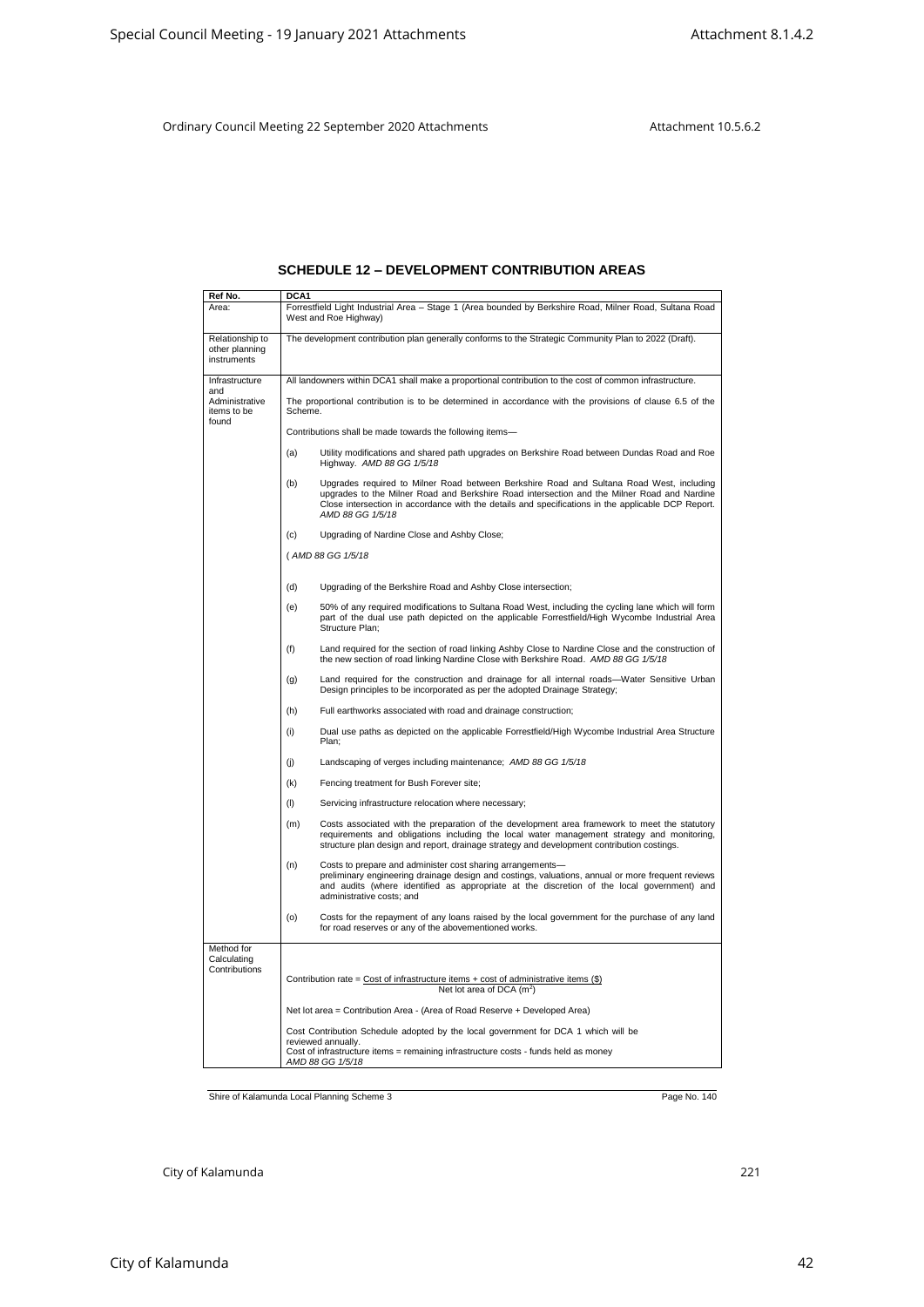## **SCHEDULE 12 – DEVELOPMENT CONTRIBUTION AREAS**

|                                                  | Ordinary Council Meeting 22 September 2020 Attachments<br>Attachment 10.5.6.2                                                                                                                                                                                                                                            |  |
|--------------------------------------------------|--------------------------------------------------------------------------------------------------------------------------------------------------------------------------------------------------------------------------------------------------------------------------------------------------------------------------|--|
|                                                  |                                                                                                                                                                                                                                                                                                                          |  |
|                                                  | <b>SCHEDULE 12 – DEVELOPMENT CONTRIBUTION AREAS</b>                                                                                                                                                                                                                                                                      |  |
| Ref No.<br>Area:                                 | DCA <sub>1</sub><br>Forrestfield Light Industrial Area - Stage 1 (Area bounded by Berkshire Road, Milner Road, Sultana Road<br>West and Roe Highway)                                                                                                                                                                     |  |
| Relationship to<br>other planning<br>instruments | The development contribution plan generally conforms to the Strategic Community Plan to 2022 (Draft).                                                                                                                                                                                                                    |  |
| Infrastructure                                   | All landowners within DCA1 shall make a proportional contribution to the cost of common infrastructure.                                                                                                                                                                                                                  |  |
| and<br>Administrative<br>items to be<br>found    | The proportional contribution is to be determined in accordance with the provisions of clause 6.5 of the<br>Scheme.                                                                                                                                                                                                      |  |
|                                                  | Contributions shall be made towards the following items-                                                                                                                                                                                                                                                                 |  |
|                                                  | Utility modifications and shared path upgrades on Berkshire Road between Dundas Road and Roe<br>(a)<br>Highway. AMD 88 GG 1/5/18                                                                                                                                                                                         |  |
|                                                  | Upgrades required to Milner Road between Berkshire Road and Sultana Road West, including<br>(b)<br>upgrades to the Milner Road and Berkshire Road intersection and the Milner Road and Nardine<br>Close intersection in accordance with the details and specifications in the applicable DCP Report.<br>AMD 88 GG 1/5/18 |  |
|                                                  | Upgrading of Nardine Close and Ashby Close;<br>(c)                                                                                                                                                                                                                                                                       |  |
|                                                  | (AMD 88 GG 1/5/18                                                                                                                                                                                                                                                                                                        |  |
|                                                  | Upgrading of the Berkshire Road and Ashby Close intersection;<br>(d)                                                                                                                                                                                                                                                     |  |
|                                                  | 50% of any required modifications to Sultana Road West, including the cycling lane which will form<br>(e)<br>part of the dual use path depicted on the applicable Forrestfield/High Wycombe Industrial Area<br>Structure Plan:                                                                                           |  |
|                                                  | Land required for the section of road linking Ashby Close to Nardine Close and the construction of<br>(f)<br>the new section of road linking Nardine Close with Berkshire Road. AMD 88 GG 1/5/18                                                                                                                         |  |
|                                                  | Land required for the construction and drainage for all internal roads—Water Sensitive Urban<br>(g)<br>Design principles to be incorporated as per the adopted Drainage Strategy;                                                                                                                                        |  |
|                                                  | Full earthworks associated with road and drainage construction;<br>(h)                                                                                                                                                                                                                                                   |  |
|                                                  | (i)<br>Dual use paths as depicted on the applicable Forrestfield/High Wycombe Industrial Area Structure<br>Plan;                                                                                                                                                                                                         |  |
|                                                  | Landscaping of verges including maintenance; AMD 88 GG 1/5/18<br>(i)                                                                                                                                                                                                                                                     |  |
|                                                  | Fencing treatment for Bush Forever site;<br>(k)                                                                                                                                                                                                                                                                          |  |
|                                                  | (1)<br>Servicing infrastructure relocation where necessary;                                                                                                                                                                                                                                                              |  |
|                                                  | (m)<br>Costs associated with the preparation of the development area framework to meet the statutory<br>requirements and obligations including the local water management strategy and monitoring,<br>structure plan design and report, drainage strategy and development contribution costings.                         |  |
|                                                  | (n)<br>Costs to prepare and administer cost sharing arrangements-<br>preliminary engineering drainage design and costings, valuations, annual or more frequent reviews<br>and audits (where identified as appropriate at the discretion of the local government) and<br>administrative costs; and                        |  |
|                                                  | (o)<br>Costs for the repayment of any loans raised by the local government for the purchase of any land<br>for road reserves or any of the abovementioned works.                                                                                                                                                         |  |
| Method for<br>Calculating<br>Contributions       | Contribution rate = $Cost of infrastructure items + cost of administrative items ($\)$<br>Net lot area of DCA $(m^2)$                                                                                                                                                                                                    |  |
|                                                  | Net lot area = Contribution Area - (Area of Road Reserve + Developed Area)                                                                                                                                                                                                                                               |  |
|                                                  | Cost Contribution Schedule adopted by the local government for DCA 1 which will be<br>reviewed annually.                                                                                                                                                                                                                 |  |
|                                                  | Cost of infrastructure items = remaining infrastructure costs - funds held as money<br>AMD 88 GG 1/5/18                                                                                                                                                                                                                  |  |
|                                                  |                                                                                                                                                                                                                                                                                                                          |  |